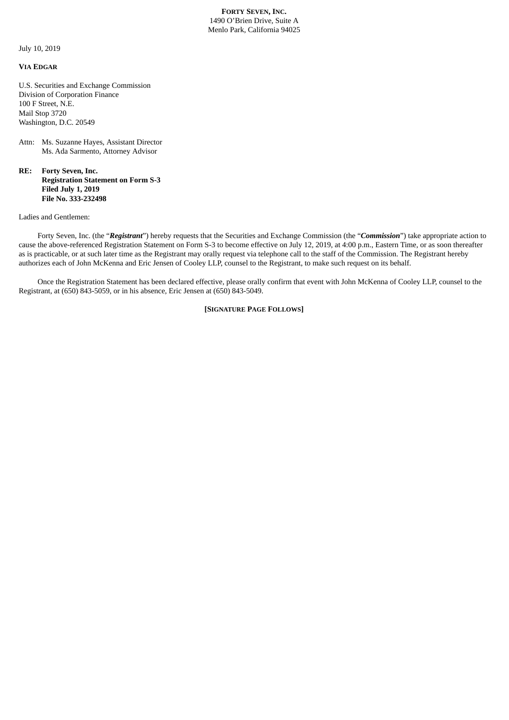**FORTY SEVEN, INC.** 1490 O'Brien Drive, Suite A Menlo Park, California 94025

July 10, 2019

## **VIA EDGAR**

U.S. Securities and Exchange Commission Division of Corporation Finance 100 F Street, N.E. Mail Stop 3720 Washington, D.C. 20549

## Attn: Ms. Suzanne Hayes, Assistant Director Ms. Ada Sarmento, Attorney Advisor

**RE: Forty Seven, Inc. Registration Statement on Form S-3 Filed July 1, 2019 File No. 333-232498**

Ladies and Gentlemen:

Forty Seven, Inc. (the "*Registrant*") hereby requests that the Securities and Exchange Commission (the "*Commission*") take appropriate action to cause the above-referenced Registration Statement on Form S-3 to become effective on July 12, 2019, at 4:00 p.m., Eastern Time, or as soon thereafter as is practicable, or at such later time as the Registrant may orally request via telephone call to the staff of the Commission. The Registrant hereby authorizes each of John McKenna and Eric Jensen of Cooley LLP, counsel to the Registrant, to make such request on its behalf.

Once the Registration Statement has been declared effective, please orally confirm that event with John McKenna of Cooley LLP, counsel to the Registrant, at (650) 843-5059, or in his absence, Eric Jensen at (650) 843-5049.

**[SIGNATURE PAGE FOLLOWS]**